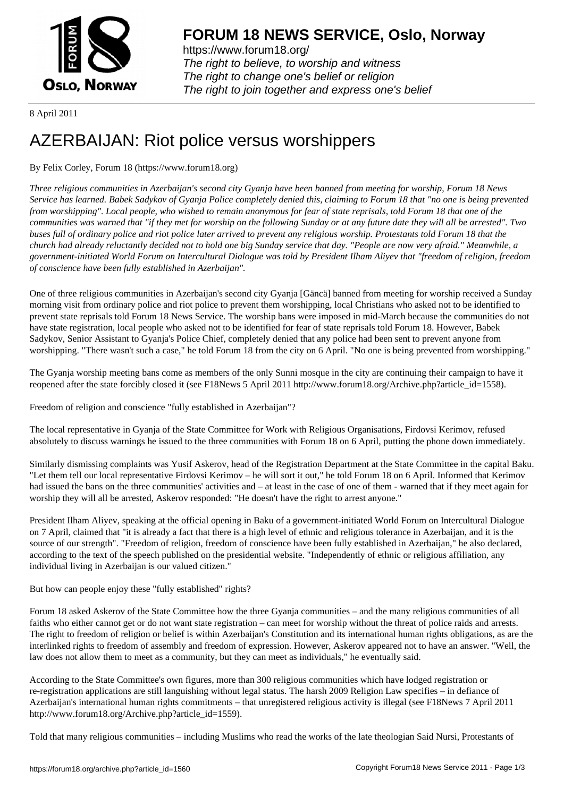

https://www.forum18.org/ The right to believe, to worship and witness The right to change one's belief or religion [The right to join together a](https://www.forum18.org/)nd express one's belief

8 April 2011

# [AZERBAIJAN: R](https://www.forum18.org)iot police versus worshippers

## By Felix Corley, Forum 18 (https://www.forum18.org)

*Three religious communities in Azerbaijan's second city Gyanja have been banned from meeting for worship, Forum 18 News Service has learned. Babek Sadykov of Gyanja Police completely denied this, claiming to Forum 18 that "no one is being prevented from worshipping". Local people, who wished to remain anonymous for fear of state reprisals, told Forum 18 that one of the communities was warned that "if they met for worship on the following Sunday or at any future date they will all be arrested". Two buses full of ordinary police and riot police later arrived to prevent any religious worship. Protestants told Forum 18 that the church had already reluctantly decided not to hold one big Sunday service that day. "People are now very afraid." Meanwhile, a government-initiated World Forum on Intercultural Dialogue was told by President Ilham Aliyev that "freedom of religion, freedom of conscience have been fully established in Azerbaijan".*

One of three religious communities in Azerbaijan's second city Gyanja [Gäncä] banned from meeting for worship received a Sunday morning visit from ordinary police and riot police to prevent them worshipping, local Christians who asked not to be identified to prevent state reprisals told Forum 18 News Service. The worship bans were imposed in mid-March because the communities do not have state registration, local people who asked not to be identified for fear of state reprisals told Forum 18. However, Babek Sadykov, Senior Assistant to Gyanja's Police Chief, completely denied that any police had been sent to prevent anyone from worshipping. "There wasn't such a case," he told Forum 18 from the city on 6 April. "No one is being prevented from worshipping."

The Gyanja worship meeting bans come as members of the only Sunni mosque in the city are continuing their campaign to have it reopened after the state forcibly closed it (see F18News 5 April 2011 http://www.forum18.org/Archive.php?article\_id=1558).

Freedom of religion and conscience "fully established in Azerbaijan"?

The local representative in Gyanja of the State Committee for Work with Religious Organisations, Firdovsi Kerimov, refused absolutely to discuss warnings he issued to the three communities with Forum 18 on 6 April, putting the phone down immediately.

Similarly dismissing complaints was Yusif Askerov, head of the Registration Department at the State Committee in the capital Baku. "Let them tell our local representative Firdovsi Kerimov – he will sort it out," he told Forum 18 on 6 April. Informed that Kerimov had issued the bans on the three communities' activities and – at least in the case of one of them - warned that if they meet again for worship they will all be arrested, Askerov responded: "He doesn't have the right to arrest anyone."

President Ilham Aliyev, speaking at the official opening in Baku of a government-initiated World Forum on Intercultural Dialogue on 7 April, claimed that "it is already a fact that there is a high level of ethnic and religious tolerance in Azerbaijan, and it is the source of our strength". "Freedom of religion, freedom of conscience have been fully established in Azerbaijan," he also declared, according to the text of the speech published on the presidential website. "Independently of ethnic or religious affiliation, any individual living in Azerbaijan is our valued citizen."

But how can people enjoy these "fully established" rights?

Forum 18 asked Askerov of the State Committee how the three Gyanja communities – and the many religious communities of all faiths who either cannot get or do not want state registration – can meet for worship without the threat of police raids and arrests. The right to freedom of religion or belief is within Azerbaijan's Constitution and its international human rights obligations, as are the interlinked rights to freedom of assembly and freedom of expression. However, Askerov appeared not to have an answer. "Well, the law does not allow them to meet as a community, but they can meet as individuals," he eventually said.

According to the State Committee's own figures, more than 300 religious communities which have lodged registration or re-registration applications are still languishing without legal status. The harsh 2009 Religion Law specifies – in defiance of Azerbaijan's international human rights commitments – that unregistered religious activity is illegal (see F18News 7 April 2011 http://www.forum18.org/Archive.php?article\_id=1559).

Told that many religious communities – including Muslims who read the works of the late theologian Said Nursi, Protestants of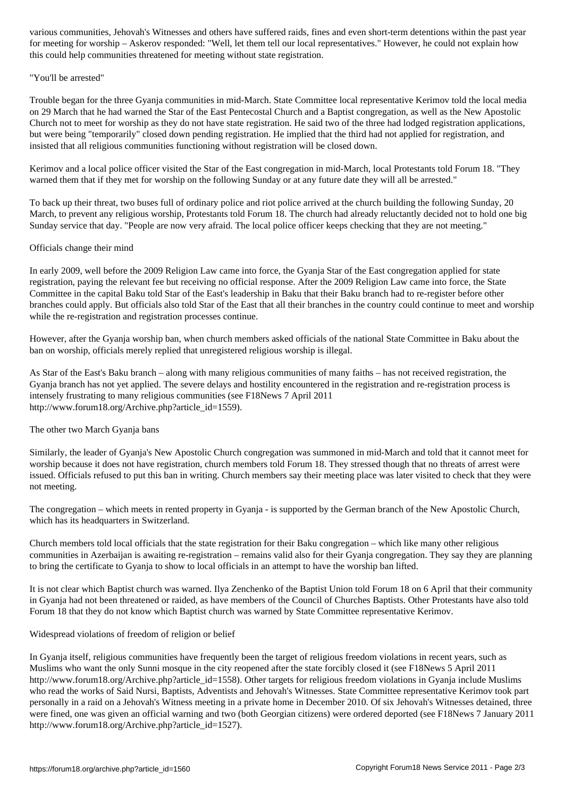for meeting for worship – Askerov responded: "Well, let them tell our local representatives." However, he could not explain how this could help communities threatened for meeting without state registration.

#### "You'll be arrested"

Trouble began for the three Gyanja communities in mid-March. State Committee local representative Kerimov told the local media on 29 March that he had warned the Star of the East Pentecostal Church and a Baptist congregation, as well as the New Apostolic Church not to meet for worship as they do not have state registration. He said two of the three had lodged registration applications, but were being "temporarily" closed down pending registration. He implied that the third had not applied for registration, and insisted that all religious communities functioning without registration will be closed down.

Kerimov and a local police officer visited the Star of the East congregation in mid-March, local Protestants told Forum 18. "They warned them that if they met for worship on the following Sunday or at any future date they will all be arrested."

To back up their threat, two buses full of ordinary police and riot police arrived at the church building the following Sunday, 20 March, to prevent any religious worship, Protestants told Forum 18. The church had already reluctantly decided not to hold one big Sunday service that day. "People are now very afraid. The local police officer keeps checking that they are not meeting."

### Officials change their mind

In early 2009, well before the 2009 Religion Law came into force, the Gyanja Star of the East congregation applied for state registration, paying the relevant fee but receiving no official response. After the 2009 Religion Law came into force, the State Committee in the capital Baku told Star of the East's leadership in Baku that their Baku branch had to re-register before other branches could apply. But officials also told Star of the East that all their branches in the country could continue to meet and worship while the re-registration and registration processes continue.

However, after the Gyanja worship ban, when church members asked officials of the national State Committee in Baku about the ban on worship, officials merely replied that unregistered religious worship is illegal.

As Star of the East's Baku branch – along with many religious communities of many faiths – has not received registration, the Gyanja branch has not yet applied. The severe delays and hostility encountered in the registration and re-registration process is intensely frustrating to many religious communities (see F18News 7 April 2011 http://www.forum18.org/Archive.php?article\_id=1559).

### The other two March Gyanja bans

Similarly, the leader of Gyanja's New Apostolic Church congregation was summoned in mid-March and told that it cannot meet for worship because it does not have registration, church members told Forum 18. They stressed though that no threats of arrest were issued. Officials refused to put this ban in writing. Church members say their meeting place was later visited to check that they were not meeting.

The congregation – which meets in rented property in Gyanja - is supported by the German branch of the New Apostolic Church, which has its headquarters in Switzerland.

Church members told local officials that the state registration for their Baku congregation – which like many other religious communities in Azerbaijan is awaiting re-registration – remains valid also for their Gyanja congregation. They say they are planning to bring the certificate to Gyanja to show to local officials in an attempt to have the worship ban lifted.

It is not clear which Baptist church was warned. Ilya Zenchenko of the Baptist Union told Forum 18 on 6 April that their community in Gyanja had not been threatened or raided, as have members of the Council of Churches Baptists. Other Protestants have also told Forum 18 that they do not know which Baptist church was warned by State Committee representative Kerimov.

### Widespread violations of freedom of religion or belief

In Gyanja itself, religious communities have frequently been the target of religious freedom violations in recent years, such as Muslims who want the only Sunni mosque in the city reopened after the state forcibly closed it (see F18News 5 April 2011 http://www.forum18.org/Archive.php?article\_id=1558). Other targets for religious freedom violations in Gyanja include Muslims who read the works of Said Nursi, Baptists, Adventists and Jehovah's Witnesses. State Committee representative Kerimov took part personally in a raid on a Jehovah's Witness meeting in a private home in December 2010. Of six Jehovah's Witnesses detained, three were fined, one was given an official warning and two (both Georgian citizens) were ordered deported (see F18News 7 January 2011 http://www.forum18.org/Archive.php?article\_id=1527).